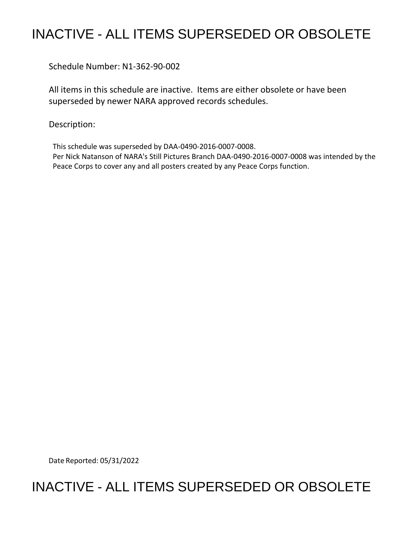## INACTIVE - ALL ITEMS SUPERSEDED OR OBSOLETE

Schedule Number: N1-362-90-002

 All items in this schedule are inactive. Items are either obsolete or have been superseded by newer NARA approved records schedules.

Description:

 Per Nick Natanson of NARA's Still Pictures Branch DAA-0490-2016-0007-0008 was intended by the Peace Corps to cover any and all posters created by any Peace Corps function. This schedule was superseded by DAA-0490-2016-0007-0008.

Date Reported: 05/31/2022

## INACTIVE - ALL ITEMS SUPERSEDED OR OBSOLETE